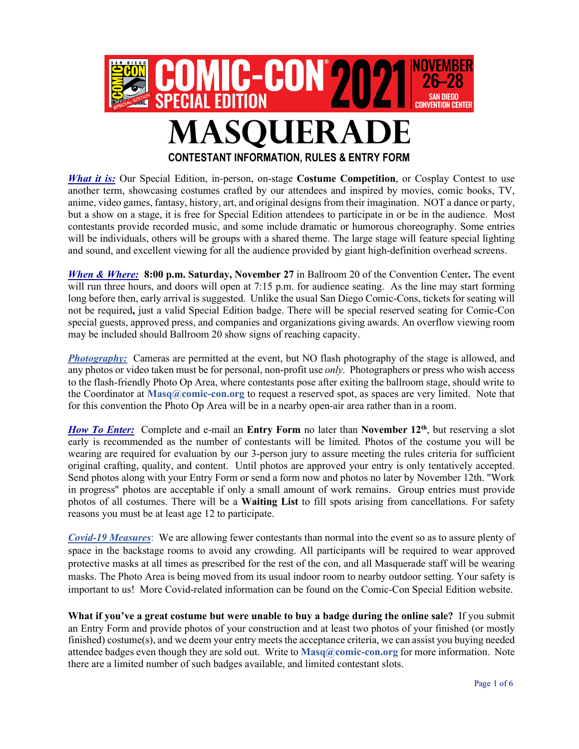

**CONTESTANT INFORMATION, RULES & ENTRY FORM**

*What it is:* Our Special Edition, in-person, on-stage **Costume Competition**, or Cosplay Contest to use another term, showcasing costumes crafted by our attendees and inspired by movies, comic books, TV, anime, video games, fantasy, history, art, and original designs from their imagination. NOT a dance or party, but a show on a stage, it is free for Special Edition attendees to participate in or be in the audience. Most contestants provide recorded music, and some include dramatic or humorous choreography. Some entries will be individuals, others will be groups with a shared theme. The large stage will feature special lighting and sound, and excellent viewing for all the audience provided by giant high-definition overhead screens.

*When & Where:* **8:00 p.m. Saturday, November 27** in Ballroom 20 of the Convention Center**.** The event will run three hours, and doors will open at 7:15 p.m. for audience seating. As the line may start forming long before then, early arrival is suggested. Unlike the usual San Diego Comic-Cons, tickets for seating will not be required**,** just a valid Special Edition badge. There will be special reserved seating for Comic-Con special guests, approved press, and companies and organizations giving awards. An overflow viewing room may be included should Ballroom 20 show signs of reaching capacity.

**Photography:** Cameras are permitted at the event, but NO flash photography of the stage is allowed, and any photos or video taken must be for personal, non-profit use *only.* Photographers or press who wish access to the flash-friendly Photo Op Area, where contestants pose after exiting the ballroom stage, should write to the Coordinator at **Masq@comic-con.org** to request a reserved spot, as spaces are very limited. Note that for this convention the Photo Op Area will be in a nearby open-air area rather than in a room.

*How To Enter:* Complete and e-mail an Entry Form no later than **November 12<sup>th</sup>**, but reserving a slot early is recommended as the number of contestants will be limited. Photos of the costume you will be wearing are required for evaluation by our 3-person jury to assure meeting the rules criteria for sufficient original crafting, quality, and content. Until photos are approved your entry is only tentatively accepted. Send photos along with your Entry Form or send a form now and photos no later by November 12th. "Work in progress" photos are acceptable if only a small amount of work remains. Group entries must provide photos of all costumes. There will be a **Waiting List** to fill spots arising from cancellations. For safety reasons you must be at least age 12 to participate.

*Covid-19 Measures*: We are allowing fewer contestants than normal into the event so as to assure plenty of space in the backstage rooms to avoid any crowding. All participants will be required to wear approved protective masks at all times as prescribed for the rest of the con, and all Masquerade staff will be wearing masks. The Photo Area is being moved from its usual indoor room to nearby outdoor setting. Your safety is important to us! More Covid-related information can be found on the Comic-Con Special Edition website.

**What if you've a great costume but were unable to buy a badge during the online sale?** If you submit an Entry Form and provide photos of your construction and at least two photos of your finished (or mostly finished) costume(s), and we deem your entry meets the acceptance criteria, we can assist you buying needed attendee badges even though they are sold out. Write to **Masq@comic-con.org** for more information. Note there are a limited number of such badges available, and limited contestant slots.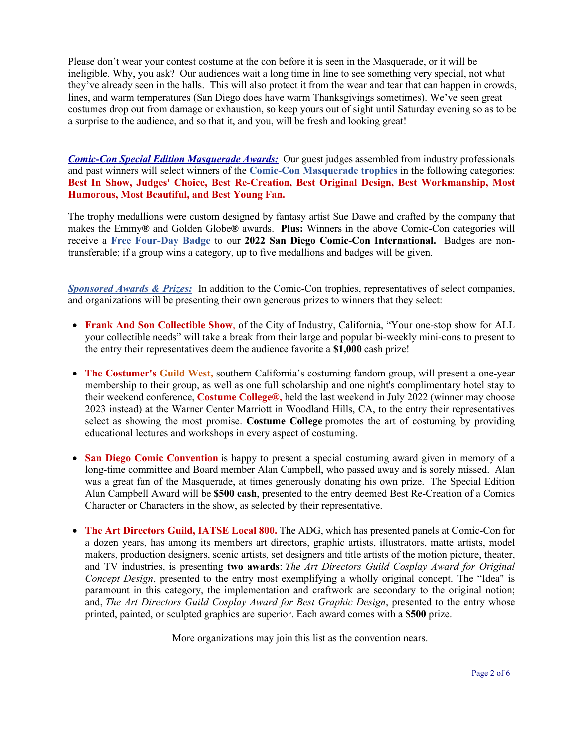Please don't wear your contest costume at the con before it is seen in the Masquerade, or it will be ineligible. Why, you ask?Our audiences wait a long time in line to see something very special, not what they've already seen in the halls. This will also protect it from the wear and tear that can happen in crowds, lines, and warm temperatures (San Diego does have warm Thanksgivings sometimes). We've seen great costumes drop out from damage or exhaustion, so keep yours out of sight until Saturday evening so as to be a surprise to the audience, and so that it, and you, will be fresh and looking great!

*Comic-Con Special Edition Masquerade Awards:* Our guest judges assembled from industry professionals and past winners will select winners of the **Comic-Con Masquerade trophies** in the following categories: **Best In Show, Judges' Choice, Best Re-Creation, Best Original Design, Best Workmanship, Most Humorous, Most Beautiful, and Best Young Fan.**

The trophy medallions were custom designed by fantasy artist Sue Dawe and crafted by the company that makes the Emmy**®** and Golden Globe**®** awards. **Plus:** Winners in the above Comic-Con categories will receive a **Free Four-Day Badge** to our **2022 San Diego Comic-Con International.** Badges are nontransferable; if a group wins a category, up to five medallions and badges will be given.

*Sponsored Awards & Prizes:* In addition to the Comic-Con trophies, representatives of select companies, and organizations will be presenting their own generous prizes to winners that they select:

- **Frank And Son Collectible Show**, of the City of Industry, California, "Your one-stop show for ALL your collectible needs" will take a break from their large and popular bi-weekly mini-cons to present to the entry their representatives deem the audience favorite a **\$1,000** cash prize!
- **The Costumer's Guild West, southern California's costuming fandom group, will present a one-year** membership to their group, as well as one full scholarship and one night's complimentary hotel stay to their weekend conference, **Costume College®,** held the last weekend in July 2022 (winner may choose 2023 instead) at the Warner Center Marriott in Woodland Hills, CA, to the entry their representatives select as showing the most promise. **Costume College** promotes the art of costuming by providing educational lectures and workshops in every aspect of costuming.
- **San Diego Comic Convention** is happy to present a special costuming award given in memory of a long-time committee and Board member Alan Campbell, who passed away and is sorely missed. Alan was a great fan of the Masquerade, at times generously donating his own prize. The Special Edition Alan Campbell Award will be **\$500 cash**, presented to the entry deemed Best Re-Creation of a Comics Character or Characters in the show, as selected by their representative.
- **The Art Directors Guild, IATSE Local 800.** The ADG, which has presented panels at Comic-Con for a dozen years, has among its members art directors, graphic artists, illustrators, matte artists, model makers, production designers, scenic artists, set designers and title artists of the motion picture, theater, and TV industries, is presenting **two awards**: *The Art Directors Guild Cosplay Award for Original Concept Design*, presented to the entry most exemplifying a wholly original concept. The "Idea" is paramount in this category, the implementation and craftwork are secondary to the original notion; and, *The Art Directors Guild Cosplay Award for Best Graphic Design*, presented to the entry whose printed, painted, or sculpted graphics are superior. Each award comes with a **\$500** prize.

More organizations may join this list as the convention nears.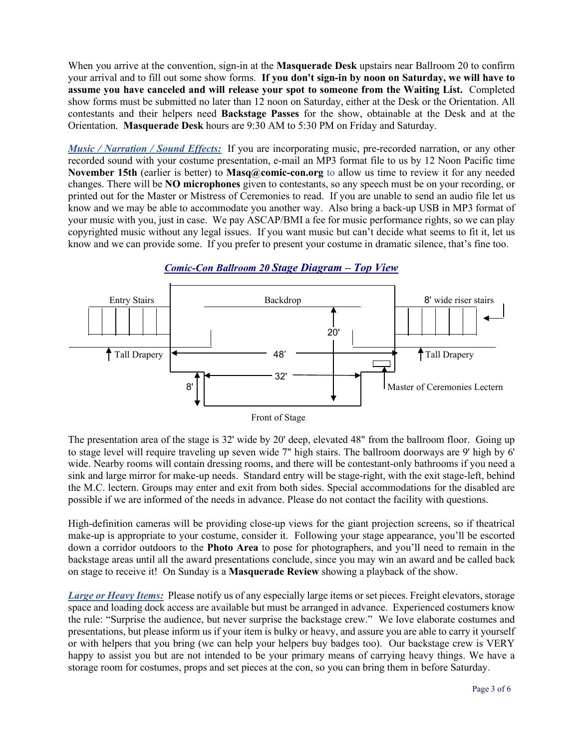When you arrive at the convention, sign-in at the **Masquerade Desk** upstairs near Ballroom 20 to confirm your arrival and to fill out some show forms. **If you don't sign-in by noon on Saturday, we will have to assume you have canceled and will release your spot to someone from the Waiting List.** Completed show forms must be submitted no later than 12 noon on Saturday, either at the Desk or the Orientation. All contestants and their helpers need **Backstage Passes** for the show, obtainable at the Desk and at the Orientation. **Masquerade Desk** hours are 9:30 AM to 5:30 PM on Friday and Saturday.

*Music / Narration / Sound Effects:* If you are incorporating music, pre-recorded narration, or any other recorded sound with your costume presentation, e-mail an MP3 format file to us by 12 Noon Pacific time **November 15th** (earlier is better) to **Masq@comic-con.org** to allow us time to review it for any needed changes. There will be **NO microphones** given to contestants, so any speech must be on your recording, or printed out for the Master or Mistress of Ceremonies to read. If you are unable to send an audio file let us know and we may be able to accommodate you another way. Also bring a back-up USB in MP3 format of your music with you, just in case. We pay ASCAP/BMI a fee for music performance rights, so we can play copyrighted music without any legal issues. If you want music but can't decide what seems to fit it, let us know and we can provide some. If you prefer to present your costume in dramatic silence, that's fine too.



## *Comic-Con Ballroom 20 Stage Diagram – Top View*

The presentation area of the stage is 32' wide by 20' deep, elevated 48" from the ballroom floor. Going up to stage level will require traveling up seven wide 7" high stairs. The ballroom doorways are 9' high by 6' wide. Nearby rooms will contain dressing rooms, and there will be contestant-only bathrooms if you need a sink and large mirror for make-up needs. Standard entry will be stage-right, with the exit stage-left, behind the M.C. lectern. Groups may enter and exit from both sides. Special accommodations for the disabled are possible if we are informed of the needs in advance. Please do not contact the facility with questions.

High-definition cameras will be providing close-up views for the giant projection screens, so if theatrical make-up is appropriate to your costume, consider it. Following your stage appearance, you'll be escorted down a corridor outdoors to the **Photo Area** to pose for photographers, and you'll need to remain in the backstage areas until all the award presentations conclude, since you may win an award and be called back on stage to receive it! On Sunday is a **Masquerade Review** showing a playback of the show.

*Large or Heavy Items:* Please notify us of any especially large items or set pieces. Freight elevators, storage space and loading dock access are available but must be arranged in advance. Experienced costumers know the rule: "Surprise the audience, but never surprise the backstage crew." We love elaborate costumes and presentations, but please inform us if your item is bulky or heavy, and assure you are able to carry it yourself or with helpers that you bring (we can help your helpers buy badges too). Our backstage crew is VERY happy to assist you but are not intended to be your primary means of carrying heavy things. We have a storage room for costumes, props and set pieces at the con, so you can bring them in before Saturday.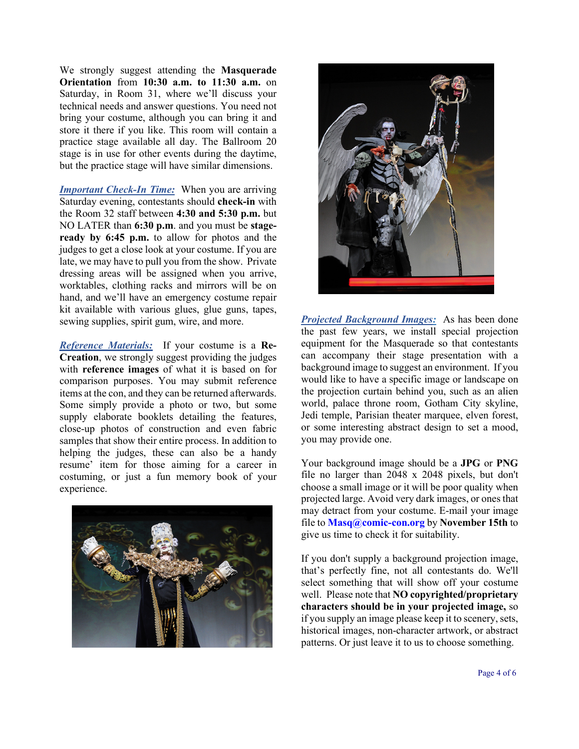We strongly suggest attending the **Masquerade Orientation** from **10:30 a.m. to 11:30 a.m.** on Saturday, in Room 31, where we'll discuss your technical needs and answer questions. You need not bring your costume, although you can bring it and store it there if you like. This room will contain a practice stage available all day. The Ballroom 20 stage is in use for other events during the daytime, but the practice stage will have similar dimensions.

*Important Check-In Time:* When you are arriving Saturday evening, contestants should **check-in** with the Room 32 staff between **4:30 and 5:30 p.m.** but NO LATER than **6:30 p.m**. and you must be **stageready by 6:45 p.m.** to allow for photos and the judges to get a close look at your costume. If you are late, we may have to pull you from the show. Private dressing areas will be assigned when you arrive, worktables, clothing racks and mirrors will be on hand, and we'll have an emergency costume repair kit available with various glues, glue guns, tapes, sewing supplies, spirit gum, wire, and more.

*Reference Materials:* If your costume is a **Re-Creation**, we strongly suggest providing the judges with **reference images** of what it is based on for comparison purposes. You may submit reference items at the con, and they can be returned afterwards. Some simply provide a photo or two, but some supply elaborate booklets detailing the features, close-up photos of construction and even fabric samples that show their entire process. In addition to helping the judges, these can also be a handy resume' item for those aiming for a career in costuming, or just a fun memory book of your experience.





*Projected Background Images:* As has been done the past few years, we install special projection equipment for the Masquerade so that contestants can accompany their stage presentation with a background image to suggest an environment. If you would like to have a specific image or landscape on the projection curtain behind you, such as an alien world, palace throne room, Gotham City skyline, Jedi temple, Parisian theater marquee, elven forest, or some interesting abstract design to set a mood, you may provide one.

Your background image should be a **JPG** or **PNG**  file no larger than 2048 x 2048 pixels, but don't choose a small image or it will be poor quality when projected large. Avoid very dark images, or ones that may detract from your costume. E-mail your image file to **Masq@comic-con.org** by **November 15th** to give us time to check it for suitability.

If you don't supply a background projection image, that's perfectly fine, not all contestants do. We'll select something that will show off your costume well. Please note that **NO copyrighted/proprietary characters should be in your projected image,** so if you supply an image please keep it to scenery, sets, historical images, non-character artwork, or abstract patterns. Or just leave it to us to choose something.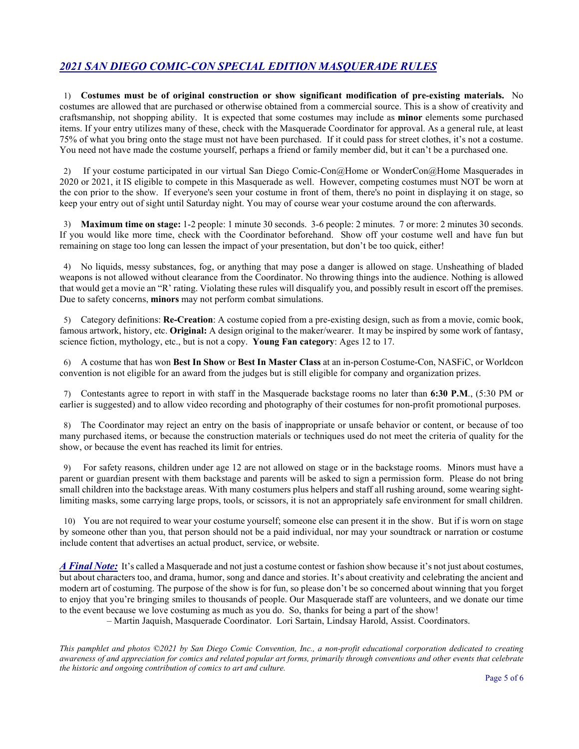## *2021 SAN DIEGO COMIC-CON SPECIAL EDITION MASQUERADE RULES*

1) **Costumes must be of original construction or show significant modification of pre-existing materials.** No costumes are allowed that are purchased or otherwise obtained from a commercial source. This is a show of creativity and craftsmanship, not shopping ability. It is expected that some costumes may include as **minor** elements some purchased items. If your entry utilizes many of these, check with the Masquerade Coordinator for approval. As a general rule, at least 75% of what you bring onto the stage must not have been purchased. If it could pass for street clothes, it's not a costume. You need not have made the costume yourself, perhaps a friend or family member did, but it can't be a purchased one.

2) If your costume participated in our virtual San Diego Comic-Con@Home or WonderCon@Home Masquerades in 2020 or 2021, it IS eligible to compete in this Masquerade as well. However, competing costumes must NOT be worn at the con prior to the show. If everyone's seen your costume in front of them, there's no point in displaying it on stage, so keep your entry out of sight until Saturday night. You may of course wear your costume around the con afterwards.

3) **Maximum time on stage:** 1-2 people: 1 minute 30 seconds. 3-6 people: 2 minutes. 7 or more: 2 minutes 30 seconds. If you would like more time, check with the Coordinator beforehand. Show off your costume well and have fun but remaining on stage too long can lessen the impact of your presentation, but don't be too quick, either!

4) No liquids, messy substances, fog, or anything that may pose a danger is allowed on stage. Unsheathing of bladed weapons is not allowed without clearance from the Coordinator. No throwing things into the audience. Nothing is allowed that would get a movie an "R' rating. Violating these rules will disqualify you, and possibly result in escort off the premises. Due to safety concerns, **minors** may not perform combat simulations.

5) Category definitions: **Re-Creation**: A costume copied from a pre-existing design, such as from a movie, comic book, famous artwork, history, etc. **Original:** A design original to the maker/wearer. It may be inspired by some work of fantasy, science fiction, mythology, etc., but is not a copy. **Young Fan category**: Ages 12 to 17.

6) A costume that has won **Best In Show** or **Best In Master Class** at an in-person Costume-Con, NASFiC, or Worldcon convention is not eligible for an award from the judges but is still eligible for company and organization prizes.

7) Contestants agree to report in with staff in the Masquerade backstage rooms no later than **6:30 P.M**., (5:30 PM or earlier is suggested) and to allow video recording and photography of their costumes for non-profit promotional purposes.

8) The Coordinator may reject an entry on the basis of inappropriate or unsafe behavior or content, or because of too many purchased items, or because the construction materials or techniques used do not meet the criteria of quality for the show, or because the event has reached its limit for entries.

9) For safety reasons, children under age 12 are not allowed on stage or in the backstage rooms. Minors must have a parent or guardian present with them backstage and parents will be asked to sign a permission form. Please do not bring small children into the backstage areas. With many costumers plus helpers and staff all rushing around, some wearing sightlimiting masks, some carrying large props, tools, or scissors, it is not an appropriately safe environment for small children.

10) You are not required to wear your costume yourself; someone else can present it in the show. But if is worn on stage by someone other than you, that person should not be a paid individual, nor may your soundtrack or narration or costume include content that advertises an actual product, service, or website.

*A Final Note:* It's called a Masquerade and not just a costume contest or fashion show because it's not just about costumes, but about characters too, and drama, humor, song and dance and stories. It's about creativity and celebrating the ancient and modern art of costuming. The purpose of the show is for fun, so please don't be so concerned about winning that you forget to enjoy that you're bringing smiles to thousands of people. Our Masquerade staff are volunteers, and we donate our time to the event because we love costuming as much as you do. So, thanks for being a part of the show!

– Martin Jaquish, Masquerade Coordinator. Lori Sartain, Lindsay Harold, Assist. Coordinators.

*This pamphlet and photos ©2021 by San Diego Comic Convention, Inc., a non-profit educational corporation dedicated to creating awareness of and appreciation for comics and related popular art forms, primarily through conventions and other events that celebrate the historic and ongoing contribution of comics to art and culture.*